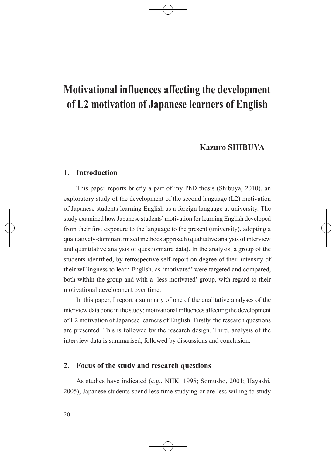# **Kazuro SHIBUYA**

## **1. Introduction**

This paper reports briefly a part of my PhD thesis (Shibuya, 2010), an exploratory study of the development of the second language (L2) motivation of Japanese students learning English as a foreign language at university. The study examined how Japanese students' motivation for learning English developed from their first exposure to the language to the present (university), adopting a qualitatively-dominant mixed methods approach (qualitative analysis of interview and quantitative analysis of questionnaire data). In the analysis, a group of the students identified, by retrospective self-report on degree of their intensity of their willingness to learn English, as 'motivated' were targeted and compared, both within the group and with a 'less motivated' group, with regard to their motivational development over time.

In this paper, I report a summary of one of the qualitative analyses of the interview data done in the study: motivational influences affecting the development of L2 motivation of Japanese learners of English. Firstly, the research questions are presented. This is followed by the research design. Third, analysis of the interview data is summarised, followed by discussions and conclusion.

# **2. Focus of the study and research questions**

As studies have indicated (e.g., NHK, 1995; Somusho, 2001; Hayashi, 2005), Japanese students spend less time studying or are less willing to study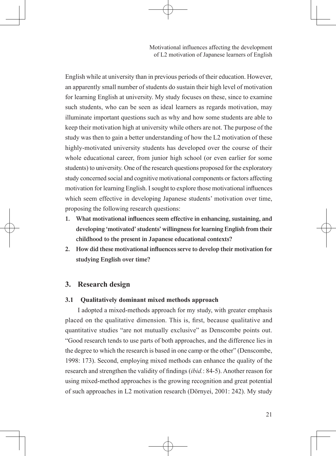English while at university than in previous periods of their education. However, an apparently small number of students do sustain their high level of motivation for learning English at university. My study focuses on these, since to examine such students, who can be seen as ideal learners as regards motivation, may illuminate important questions such as why and how some students are able to keep their motivation high at university while others are not. The purpose of the study was then to gain a better understanding of how the L2 motivation of these highly-motivated university students has developed over the course of their whole educational career, from junior high school (or even earlier for some students) to university. One of the research questions proposed for the exploratory study concerned social and cognitive motivational components or factors affecting motivation for learning English. I sought to explore those motivational influences which seem effective in developing Japanese students' motivation over time, proposing the following research questions:

- **1. What motivational influences seem effective in enhancing, sustaining, and developing 'motivated'students' willingnessforlearning English from their childhood to the present in Japanese educational contexts?**
- **2. How did these motivational influences serve to develop their motivation for studying English over time?**

# **3. Research design**

#### **3.1 Qualitatively dominant mixed methods approach**

I adopted a mixed-methods approach for my study, with greater emphasis placed on the qualitative dimension. This is, first, because qualitative and quantitative studies "are not mutually exclusive" as Denscombe points out. "Good research tends to use parts of both approaches, and the difference lies in the degree to which the research is based in one camp or the other" (Denscombe, 1998: 173). Second, employing mixed methods can enhance the quality of the research and strengthen the validity of findings (*ibid.*: 84-5). Another reason for using mixed-method approaches is the growing recognition and great potential of such approaches in L2 motivation research (Dörnyei, 2001: 242). My study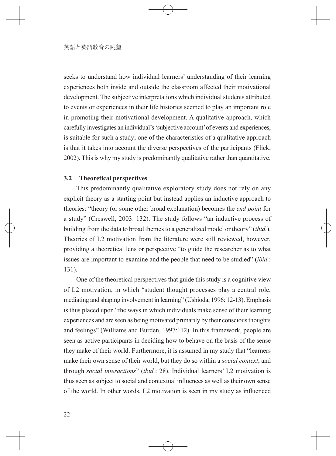seeks to understand how individual learners' understanding of their learning experiences both inside and outside the classroom affected their motivational development. The subjective interpretations which individual students attributed to events or experiences in their life histories seemed to play an important role in promoting their motivational development. A qualitative approach, which carefully investigates an individual's 'subjective account' of events and experiences, is suitable for such a study; one of the characteristics of a qualitative approach is that it takes into account the diverse perspectives of the participants (Flick, 2002). This is why my study is predominantly qualitative rather than quantitative.

#### **3.2 Theoretical perspectives**

This predominantly qualitative exploratory study does not rely on any explicit theory as a starting point but instead applies an inductive approach to theories: "theory (or some other broad explanation) becomes the *end point* for a study" (Creswell, 2003: 132). The study follows "an inductive process of building from the data to broad themes to a generalized model or theory" (*ibid.*). Theories of L2 motivation from the literature were still reviewed, however, providing a theoretical lens or perspective "to guide the researcher as to what issues are important to examine and the people that need to be studied" (*ibid.*: 131).

One of the theoretical perspectives that guide this study is a cognitive view of L2 motivation, in which "student thought processes play a central role, mediating and shaping involvement in learning" (Ushioda, 1996: 12-13). Emphasis is thus placed upon "the ways in which individuals make sense of their learning experiences and are seen as being motivated primarily by their conscious thoughts and feelings" (Williams and Burden, 1997:112). In this framework, people are seen as active participants in deciding how to behave on the basis of the sense they make of their world. Furthermore, it is assumed in my study that "learners make their own sense of their world, but they do so within a *social context*, and through *social interactions*" (*ibid.*: 28). Individual learners' L2 motivation is thus seen as subject to social and contextual influences as well as their own sense of the world. In other words, L2 motivation is seen in my study as influenced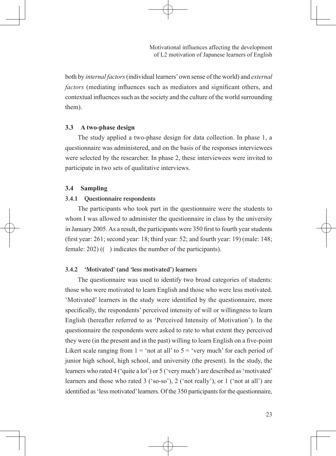both by *internal factors* (individual learners' own sense of the world) and *external factors* (mediating influences such as mediators and significant others, and contextual influences such as the society and the culture of the world surrounding them).

#### **3.3 A two-phase design**

The study applied a two-phase design for data collection. In phase 1, a questionnaire was administered, and on the basis of the responses interviewees were selected by the researcher. In phase 2, these interviewees were invited to participate in two sets of qualitative interviews.

#### **3.4 Sampling**

#### **3.4.1 Questionnaire respondents**

The participants who took part in the questionnaire were the students to whom I was allowed to administer the questionnaire in class by the university in January 2005. As a result, the participants were 350 first to fourth year students (first year: 261; second year: 18; third year: 52; and fourth year: 19) (male: 148; female: 202) (( ) indicates the number of the participants).

## **3.4.2 'Motivated' (and 'less motivated') learners**

The questionnaire was used to identify two broad categories of students: those who were motivated to learn English and those who were less motivated. 'Motivated' learners in the study were identified by the questionnaire, more specifically, the respondents' perceived intensity of will or willingness to learn English (hereafter referred to as 'Perceived Intensity of Motivation'). In the questionnaire the respondents were asked to rate to what extent they perceived they were (in the present and in the past) willing to learn English on a five-point Likert scale ranging from  $1 = \text{`not at all' to } 5 = \text{`very much' for each period of}$ junior high school, high school, and university (the present). In the study, the learners who rated 4 ('quite a lot') or 5 ('very much') are described as 'motivated' learners and those who rated 3 ('so-so'), 2 ('not really'), or 1 ('not at all') are identified as 'less motivated' learners. Of the 350 participants for the questionnaire,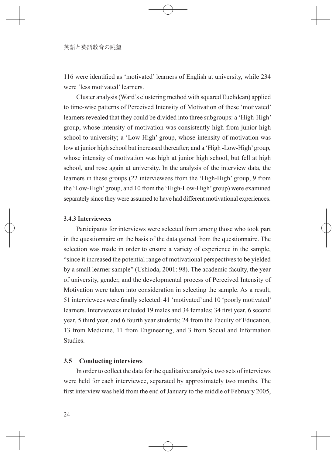116 were identified as 'motivated' learners of English at university, while 234 were 'less motivated' learners.

Cluster analysis (Ward's clustering method with squared Euclidean) applied to time-wise patterns of Perceived Intensity of Motivation of these 'motivated' learners revealed that they could be divided into three subgroups: a 'High-High' group, whose intensity of motivation was consistently high from junior high school to university; a 'Low-High' group, whose intensity of motivation was low at junior high school but increased thereafter; and a 'High -Low-High' group, whose intensity of motivation was high at junior high school, but fell at high school, and rose again at university. In the analysis of the interview data, the learners in these groups (22 interviewees from the 'High-High' group, 9 from the 'Low-High' group, and 10 from the 'High-Low-High' group) were examined separately since they were assumed to have had different motivational experiences.

# **3.4.3 Interviewees**

Participants for interviews were selected from among those who took part in the questionnaire on the basis of the data gained from the questionnaire. The selection was made in order to ensure a variety of experience in the sample, "since it increased the potential range of motivational perspectives to be yielded by a small learner sample" (Ushioda, 2001: 98). The academic faculty, the year of university, gender, and the developmental process of Perceived Intensity of Motivation were taken into consideration in selecting the sample. As a result, 51 interviewees were finally selected: 41 'motivated' and 10 'poorly motivated' learners. Interviewees included 19 males and 34 females; 34 first year, 6 second year, 5 third year, and 6 fourth year students; 24 from the Faculty of Education, 13 from Medicine, 11 from Engineering, and 3 from Social and Information Studies.

## **3.5 Conducting interviews**

In order to collect the data for the qualitative analysis, two sets of interviews were held for each interviewee, separated by approximately two months. The first interview was held from the end of January to the middle of February 2005,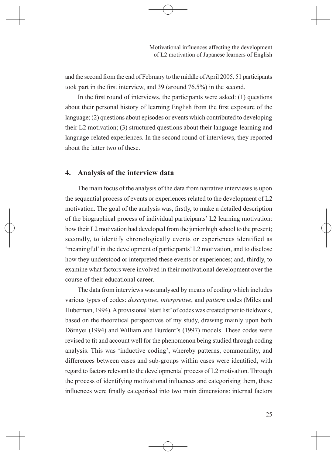and the second from the end of February to the middle of April 2005. 51 participants took part in the first interview, and 39 (around 76.5%) in the second.

In the first round of interviews, the participants were asked: (1) questions about their personal history of learning English from the first exposure of the language; (2) questions about episodes or events which contributed to developing their L2 motivation; (3) structured questions about their language-learning and language-related experiences. In the second round of interviews, they reported about the latter two of these.

# **4. Analysis of the interview data**

The main focus of the analysis of the data from narrative interviews is upon the sequential process of events or experiences related to the development of L2 motivation. The goal of the analysis was, firstly, to make a detailed description of the biographical process of individual participants' L2 learning motivation: how their L2 motivation had developed from the junior high school to the present; secondly, to identify chronologically events or experiences identified as 'meaningful' in the development of participants' L2 motivation, and to disclose how they understood or interpreted these events or experiences; and, thirdly, to examine what factors were involved in their motivational development over the course of their educational career.

The data from interviews was analysed by means of coding which includes various types of codes: *descriptive*, *interpretive*, and *pattern* codes (Miles and Huberman, 1994). A provisional 'start list' of codes was created prior to fieldwork, based on the theoretical perspectives of my study, drawing mainly upon both Dörnyei (1994) and William and Burdent's (1997) models. These codes were revised to fit and account well for the phenomenon being studied through coding analysis. This was 'inductive coding', whereby patterns, commonality, and differences between cases and sub-groups within cases were identified, with regard to factors relevant to the developmental process of L2 motivation. Through the process of identifying motivational influences and categorising them, these influences were finally categorised into two main dimensions: internal factors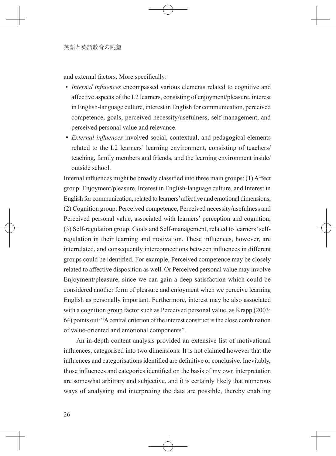and external factors. More specifically:

- *Internal influences* encompassed various elements related to cognitive and affective aspects of the L2 learners, consisting of enjoyment/pleasure, interest in English-language culture, interest in English for communication, perceived competence, goals, perceived necessity/usefulness, self-management, and perceived personal value and relevance.
- • *External influences* involved social, contextual, and pedagogical elements related to the L2 learners' learning environment, consisting of teachers/ teaching, family members and friends, and the learning environment inside/ outside school.

Internal influences might be broadly classified into three main groups: (1) Affect group: Enjoyment/pleasure, Interest in English-language culture, and Interest in English for communication, related to learners' affective and emotional dimensions; (2) Cognition group: Perceived competence, Perceived necessity/usefulness and Perceived personal value, associated with learners' perception and cognition; (3) Self-regulation group: Goals and Self-management, related to learners' selfregulation in their learning and motivation. These influences, however, are interrelated, and consequently interconnections between influences in different groups could be identified. For example, Perceived competence may be closely related to affective disposition as well. Or Perceived personal value may involve Enjoyment/pleasure, since we can gain a deep satisfaction which could be considered another form of pleasure and enjoyment when we perceive learning English as personally important. Furthermore, interest may be also associated with a cognition group factor such as Perceived personal value, as Krapp (2003: 64) points out: "A central criterion of the interest construct is the close combination of value-oriented and emotional components".

An in-depth content analysis provided an extensive list of motivational influences, categorised into two dimensions. It is not claimed however that the influences and categorisations identified are definitive or conclusive. Inevitably, those influences and categories identified on the basis of my own interpretation are somewhat arbitrary and subjective, and it is certainly likely that numerous ways of analysing and interpreting the data are possible, thereby enabling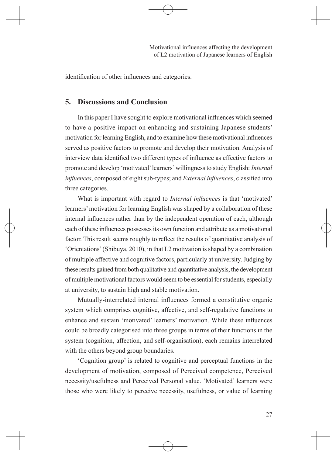identification of other influences and categories.

# **5. Discussions and Conclusion**

In this paper I have sought to explore motivational influences which seemed to have a positive impact on enhancing and sustaining Japanese students' motivation for learning English, and to examine how these motivational influences served as positive factors to promote and develop their motivation. Analysis of interview data identified two different types of influence as effective factors to promote and develop 'motivated' learners' willingness to study English: *Internal influences*, composed of eight sub-types; and *External influences*, classified into three categories.

What is important with regard to *Internal influences* is that 'motivated' learners' motivation for learning English was shaped by a collaboration of these internal influences rather than by the independent operation of each, although each of these influences possesses its own function and attribute as a motivational factor. This result seems roughly to reflect the results of quantitative analysis of 'Orientations' (Shibuya, 2010), in that L2 motivation is shaped by a combination of multiple affective and cognitive factors, particularly at university. Judging by these results gained from both qualitative and quantitative analysis, the development of multiple motivational factors would seem to be essential for students, especially at university, to sustain high and stable motivation.

Mutually-interrelated internal influences formed a constitutive organic system which comprises cognitive, affective, and self-regulative functions to enhance and sustain 'motivated' learners' motivation. While these influences could be broadly categorised into three groups in terms of their functions in the system (cognition, affection, and self-organisation), each remains interrelated with the others beyond group boundaries.

'Cognition group' is related to cognitive and perceptual functions in the development of motivation, composed of Perceived competence, Perceived necessity/usefulness and Perceived Personal value. 'Motivated' learners were those who were likely to perceive necessity, usefulness, or value of learning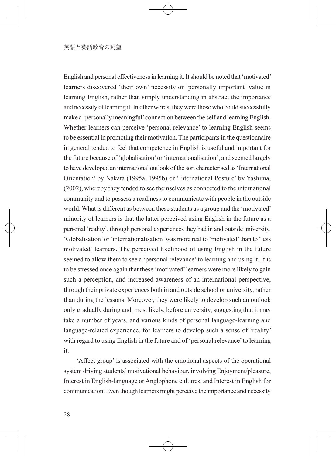English and personal effectiveness in learning it. It should be noted that 'motivated' learners discovered 'their own' necessity or 'personally important' value in learning English, rather than simply understanding in abstract the importance and necessity of learning it. In other words, they were those who could successfully make a 'personally meaningful' connection between the self and learning English. Whether learners can perceive 'personal relevance' to learning English seems to be essential in promoting their motivation. The participants in the questionnaire in general tended to feel that competence in English is useful and important for the future because of 'globalisation' or 'internationalisation', and seemed largely to have developed an international outlook of the sort characterised as 'International Orientation' by Nakata (1995a, 1995b) or 'International Posture' by Yashima, (2002), whereby they tended to see themselves as connected to the international community and to possess a readiness to communicate with people in the outside world. What is different as between these students as a group and the 'motivated' minority of learners is that the latter perceived using English in the future as a personal 'reality', through personal experiences they had in and outside university. 'Globalisation' or 'internationalisation' was more real to 'motivated' than to 'less motivated' learners. The perceived likelihood of using English in the future seemed to allow them to see a 'personal relevance' to learning and using it. It is to be stressed once again that these 'motivated' learners were more likely to gain such a perception, and increased awareness of an international perspective, through their private experiences both in and outside school or university, rather than during the lessons. Moreover, they were likely to develop such an outlook only gradually during and, most likely, before university, suggesting that it may take a number of years, and various kinds of personal language-learning and language-related experience, for learners to develop such a sense of 'reality' with regard to using English in the future and of 'personal relevance' to learning it.

'Affect group' is associated with the emotional aspects of the operational system driving students' motivational behaviour, involving Enjoyment/pleasure, Interest in English-language or Anglophone cultures, and Interest in English for communication. Even though learners might perceive the importance and necessity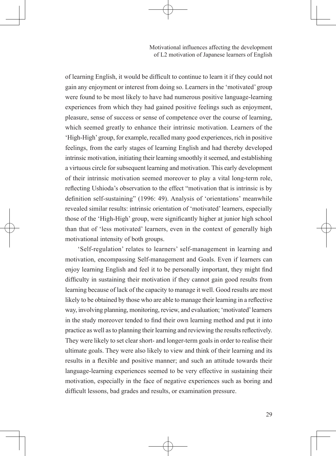of learning English, it would be difficult to continue to learn it if they could not gain any enjoyment or interest from doing so. Learners in the 'motivated' group were found to be most likely to have had numerous positive language-learning experiences from which they had gained positive feelings such as enjoyment, pleasure, sense of success or sense of competence over the course of learning, which seemed greatly to enhance their intrinsic motivation. Learners of the 'High-High' group, for example, recalled many good experiences, rich in positive feelings, from the early stages of learning English and had thereby developed intrinsic motivation, initiating their learning smoothly it seemed, and establishing a virtuous circle for subsequent learning and motivation. This early development of their intrinsic motivation seemed moreover to play a vital long-term role, reflecting Ushioda's observation to the effect "motivation that is intrinsic is by definition self-sustaining" (1996: 49). Analysis of 'orientations' meanwhile revealed similar results: intrinsic orientation of 'motivated' learners, especially those of the 'High-High' group, were significantly higher at junior high school than that of 'less motivated' learners, even in the context of generally high motivational intensity of both groups.

'Self-regulation' relates to learners' self-management in learning and motivation, encompassing Self-management and Goals. Even if learners can enjoy learning English and feel it to be personally important, they might find difficulty in sustaining their motivation if they cannot gain good results from learning because of lack of the capacity to manage it well. Good results are most likely to be obtained by those who are able to manage their learning in a reflective way, involving planning, monitoring, review, and evaluation; 'motivated' learners in the study moreover tended to find their own learning method and put it into practice as well as to planning their learning and reviewing the results reflectively. They were likely to set clear short- and longer-term goals in order to realise their ultimate goals. They were also likely to view and think of their learning and its results in a flexible and positive manner; and such an attitude towards their language-learning experiences seemed to be very effective in sustaining their motivation, especially in the face of negative experiences such as boring and difficult lessons, bad grades and results, or examination pressure.

29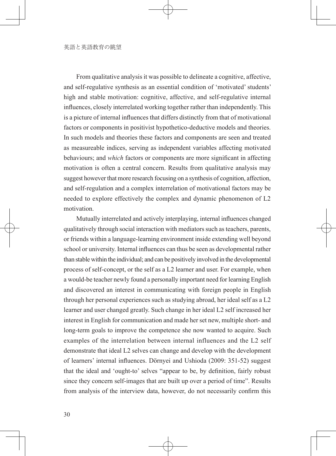From qualitative analysis it was possible to delineate a cognitive, affective, and self-regulative synthesis as an essential condition of 'motivated' students' high and stable motivation: cognitive, affective, and self-regulative internal influences, closely interrelated working together rather than independently. This is a picture of internal influences that differs distinctly from that of motivational factors or components in positivist hypothetico-deductive models and theories. In such models and theories these factors and components are seen and treated as measureable indices, serving as independent variables affecting motivated behaviours; and *which* factors or components are more significant in affecting motivation is often a central concern. Results from qualitative analysis may suggest however that more research focusing on a synthesis of cognition, affection, and self-regulation and a complex interrelation of motivational factors may be needed to explore effectively the complex and dynamic phenomenon of L2 motivation.

Mutually interrelated and actively interplaying, internal influences changed qualitatively through social interaction with mediators such as teachers, parents, or friends within a language-learning environment inside extending well beyond school or university. Internal influences can thus be seen as developmental rather than stable within the individual; and can be positively involved in the developmental process of self-concept, or the self as a L2 learner and user. For example, when a would-be teacher newly found a personally important need for learning English and discovered an interest in communicating with foreign people in English through her personal experiences such as studying abroad, her ideal self as a L2 learner and user changed greatly. Such change in her ideal L2 self increased her interest in English for communication and made her set new, multiple short- and long-term goals to improve the competence she now wanted to acquire. Such examples of the interrelation between internal influences and the L2 self demonstrate that ideal L2 selves can change and develop with the development of learners' internal influences. Dörnyei and Ushioda (2009: 351-52) suggest that the ideal and 'ought-to' selves "appear to be, by definition, fairly robust since they concern self-images that are built up over a period of time". Results from analysis of the interview data, however, do not necessarily confirm this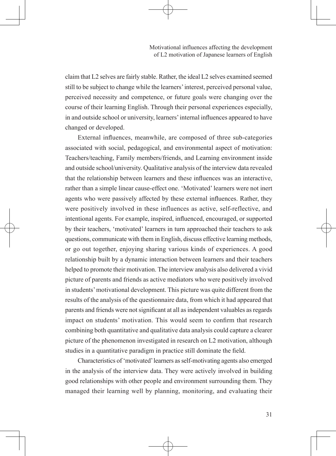claim that L2 selves are fairly stable. Rather, the ideal L2 selves examined seemed still to be subject to change while the learners' interest, perceived personal value, perceived necessity and competence, or future goals were changing over the course of their learning English. Through their personal experiences especially, in and outside school or university, learners' internal influences appeared to have changed or developed.

External influences, meanwhile, are composed of three sub-categories associated with social, pedagogical, and environmental aspect of motivation: Teachers/teaching, Family members/friends, and Learning environment inside and outside school/university. Qualitative analysis of the interview data revealed that the relationship between learners and these influences was an interactive, rather than a simple linear cause-effect one. 'Motivated' learners were not inert agents who were passively affected by these external influences. Rather, they were positively involved in these influences as active, self-reflective, and intentional agents. For example, inspired, influenced, encouraged, or supported by their teachers, 'motivated' learners in turn approached their teachers to ask questions, communicate with them in English, discuss effective learning methods, or go out together, enjoying sharing various kinds of experiences. A good relationship built by a dynamic interaction between learners and their teachers helped to promote their motivation. The interview analysis also delivered a vivid picture of parents and friends as active mediators who were positively involved in students' motivational development. This picture was quite different from the results of the analysis of the questionnaire data, from which it had appeared that parents and friends were not significant at all as independent valuables as regards impact on students' motivation. This would seem to confirm that research combining both quantitative and qualitative data analysis could capture a clearer picture of the phenomenon investigated in research on L2 motivation, although studies in a quantitative paradigm in practice still dominate the field.

Characteristics of 'motivated' learners as self-motivating agents also emerged in the analysis of the interview data. They were actively involved in building good relationships with other people and environment surrounding them. They managed their learning well by planning, monitoring, and evaluating their

31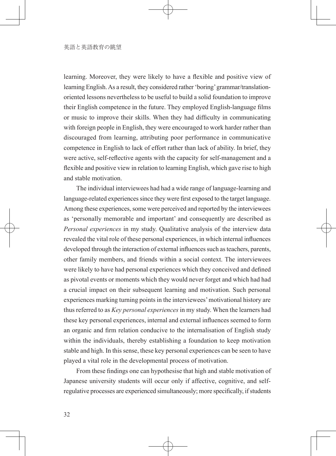learning. Moreover, they were likely to have a flexible and positive view of learning English. As a result, they considered rather 'boring' grammar/translationoriented lessons nevertheless to be useful to build a solid foundation to improve their English competence in the future. They employed English-language films or music to improve their skills. When they had difficulty in communicating with foreign people in English, they were encouraged to work harder rather than discouraged from learning, attributing poor performance in communicative competence in English to lack of effort rather than lack of ability. In brief, they were active, self-reflective agents with the capacity for self-management and a flexible and positive view in relation to learning English, which gave rise to high and stable motivation.

The individual interviewees had had a wide range of language-learning and language-related experiences since they were first exposed to the target language. Among these experiences, some were perceived and reported by the interviewees as 'personally memorable and important' and consequently are described as *Personal experiences* in my study. Qualitative analysis of the interview data revealed the vital role of these personal experiences, in which internal influences developed through the interaction of external influences such as teachers, parents, other family members, and friends within a social context. The interviewees were likely to have had personal experiences which they conceived and defined as pivotal events or moments which they would never forget and which had had a crucial impact on their subsequent learning and motivation. Such personal experiences marking turning points in the interviewees' motivational history are thus referred to as *Key personal experiences* in my study. When the learners had these key personal experiences, internal and external influences seemed to form an organic and firm relation conducive to the internalisation of English study within the individuals, thereby establishing a foundation to keep motivation stable and high. In this sense, these key personal experiences can be seen to have played a vital role in the developmental process of motivation.

From these findings one can hypothesise that high and stable motivation of Japanese university students will occur only if affective, cognitive, and selfregulative processes are experienced simultaneously; more specifically, if students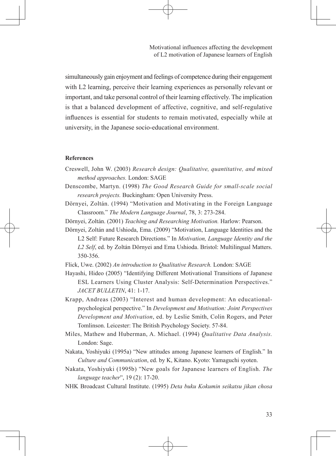simultaneously gain enjoyment and feelings of competence during their engagement with L2 learning, perceive their learning experiences as personally relevant or important, and take personal control of their learning effectively. The implication is that a balanced development of affective, cognitive, and self-regulative influences is essential for students to remain motivated, especially while at university, in the Japanese socio-educational environment.

#### **References**

- Creswell, John W. (2003) *Research design: Qualitative, quantitative, and mixed method approaches.* London: SAGE
- Denscombe, Martyn. (1998) *The Good Research Guide for small-scale social research projects.* Buckingham: Open University Press.
- Dörnyei, Zoltán. (1994) "Motivation and Motivating in the Foreign Language Classroom." *The Modern Language Journal*, 78, 3: 273-284.
- Dörnyei, Zoltán. (2001) *Teaching and Researching Motivation.* Harlow: Pearson.
- Dörnyei, Zoltán and Ushioda, Ema. (2009) "Motivation, Language Identities and the L2 Self: Future Research Directions." In *Motivation, Language Identity and the L2 Self*, ed. by Zoltán Dörnyei and Ema Ushioda. Bristol: Multilingual Matters. 350-356.

Flick, Uwe. (2002) *An introduction to Qualitative Research.* London: SAGE

Hayashi, Hideo (2005) "Identifying Different Motivational Transitions of Japanese ESL Learners Using Cluster Analysis: Self-Determination Perspectives." *JACET BULLETIN*, 41: 1-17.

Krapp, Andreas (2003) "Interest and human development: An educationalpsychological perspective." In *Development and Motivation: Joint Perspectives Development and Motivation*, ed. by Leslie Smith, Colin Rogers, and Peter Tomlinson. Leicester: The British Psychology Society. 57-84.

- Miles, Mathew and Huberman, A. Michael. (1994) *Qualitative Data Analysis.* London: Sage.
- Nakata, Yoshiyuki (1995a) "New attitudes among Japanese learners of English." In *Culture and Communication*, ed. by K, Kitano. Kyoto: Yamaguchi syoten.
- Nakata, Yoshiyuki (1995b) "New goals for Japanese learners of English. *The language teacher*", 19 (2): 17-20.
- NHK Broadcast Cultural Institute. (1995) *Deta buku Kokumin seikatsu jikan chosa*